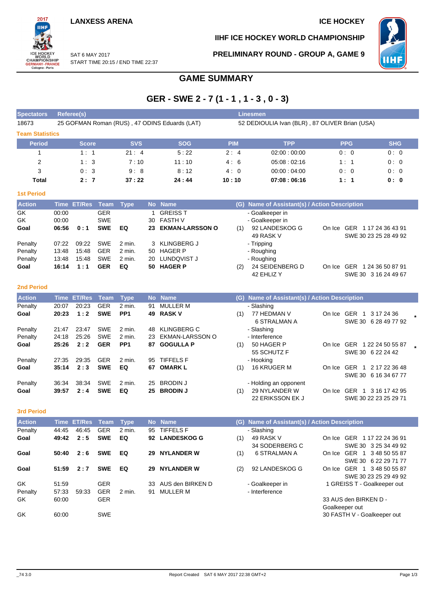#### **LANXESS ARENA ICE HOCKEY**

**IIHF ICE HOCKEY WORLD CHAMPIONSHIP**

**PRELIMINARY ROUND - GROUP A, GAME 9**



SAT 6 MAY 2017 START TIME 20:15 / END TIME 22:37

## **GAME SUMMARY**

## **GER - SWE 2 - 7 (1 - 1 , 1 - 3 , 0 - 3)**

| <b>Spectators</b>      | Referee(s)                                    |            |            | Linesmen                                       |             |            |            |  |  |  |
|------------------------|-----------------------------------------------|------------|------------|------------------------------------------------|-------------|------------|------------|--|--|--|
| 18673                  | 25 GOFMAN Roman (RUS), 47 ODINS Eduards (LAT) |            |            | 52 DEDIOULIA Ivan (BLR), 87 OLIVER Brian (USA) |             |            |            |  |  |  |
| <b>Team Statistics</b> |                                               |            |            |                                                |             |            |            |  |  |  |
| <b>Period</b>          | <b>Score</b>                                  | <b>SVS</b> | <b>SOG</b> | <b>PIM</b>                                     | <b>TPP</b>  | <b>PPG</b> | <b>SHG</b> |  |  |  |
|                        | 1:1                                           | 21:4       | 5:22       | 2:4                                            | 02:00:00:00 | 0:0        | 0:0        |  |  |  |
| 2                      | 1:3                                           | 7:10       | 11:10      | 4:6                                            | 05:08:02:16 | 1:1        | 0:0        |  |  |  |
| 3                      | 0:3                                           | 9:8        | 8:12       | 4:0                                            | 00:00:04:00 | 0:0        | 0:0        |  |  |  |
| Total                  | 2:7                                           | 37:22      | 24:44      | 10:10                                          | 07:08:06:16 | 1:1        | 0: 0       |  |  |  |

| ۳ |    |        |     |  |
|---|----|--------|-----|--|
|   | __ | $\sim$ | - 3 |  |
|   |    |        |     |  |

2017 iщ

WORLD<br>CHAMPIONSHIP<br>GERMANY-FRANCE<br>Cologne - Paris

| <b>Action</b> |       | Time ET/Res Team Type |            |          | No Name            |     | (G) Name of Assistant(s) / Action Description |        |                             |
|---------------|-------|-----------------------|------------|----------|--------------------|-----|-----------------------------------------------|--------|-----------------------------|
| GK            | 00:00 |                       | <b>GER</b> |          | GREISS T           |     | - Goalkeeper in                               |        |                             |
| GK            | 00:00 |                       | <b>SWE</b> |          | 30 FASTH V         |     | - Goalkeeper in                               |        |                             |
| Goal          | 06:56 | 0:1                   | <b>SWE</b> | EQ       | 23 EKMAN-LARSSON O | (1) | 92 LANDESKOG G                                |        | On Ice GER 1 17 24 36 43 91 |
|               |       |                       |            |          |                    |     | 49 RASK V                                     |        | SWE 30 23 25 28 49 92       |
| Penalty       | 07:22 | 09:22                 | <b>SWE</b> | 2 min.   | 3 KLINGBERG J      |     | - Tripping                                    |        |                             |
| Penalty       | 13:48 | 15:48                 | <b>GER</b> | $2$ min. | 50 HAGER P         |     | - Roughing                                    |        |                             |
| Penalty       | 13:48 | 15:48                 | <b>SWE</b> | 2 min.   | 20 LUNDQVIST J     |     | - Roughing                                    |        |                             |
| Goal          | 16:14 | 1:1                   | <b>GER</b> | EQ       | 50 HAGER P         | (2) | 24 SEIDENBERG D                               | On Ice | 1 24 36 50 87 91<br>GER     |
|               |       |                       |            |          |                    |     | 42 EHLIZ Y                                    |        | SWE 30 3 16 24 49 67        |

#### **2nd Period**

| <b>Action</b> |       | Time ET/Res Team |            | Type            |     | No Name          |     | (G) Name of Assistant(s) / Action Description |            |                                                      |  |
|---------------|-------|------------------|------------|-----------------|-----|------------------|-----|-----------------------------------------------|------------|------------------------------------------------------|--|
| Penalty       | 20:07 | 20:23            | <b>GER</b> | $2$ min.        | 91  | MULLER M         |     | - Slashing                                    |            |                                                      |  |
| Goal          | 20:23 | 1:2              | <b>SWE</b> | PP <sub>1</sub> |     | 49 RASK V        | (1) | 77 HEDMAN V<br>6 STRALMAN A                   | On Ice GER | 3 17 24 36<br>SWE 30 6 28 49 77 92                   |  |
| Penalty       | 21:47 | 23:47            | <b>SWE</b> | 2 min.          | 48  | KLINGBERG C      |     | - Slashing                                    |            |                                                      |  |
| Penalty       | 24:18 | 25:26            | <b>SWE</b> | 2 min.          | 23  | EKMAN-LARSSON O  |     | - Interference                                |            |                                                      |  |
| Goal          | 25:26 | 2:2              | <b>GER</b> | PP <sub>1</sub> | 87  | <b>GOGULLA P</b> | (1) | 50 HAGER P<br>55 SCHUTZ F                     | On Ice     | GER 1 22 24 50 55 87<br>SWE 30 6 22 24 42            |  |
| Penalty       | 27:35 | 29:35            | <b>GER</b> | 2 min.          | 95  | <b>TIFFELS F</b> |     | - Hooking                                     |            |                                                      |  |
| Goal          | 35:14 | 2:3              | <b>SWE</b> | EQ              | 67. | <b>OMARK L</b>   | (1) | <b>16 KRUGER M</b>                            | On Ice     | GER<br>2 17 22 36 48<br>-1                           |  |
|               |       |                  |            |                 |     |                  |     |                                               |            | SWE 30 6 16 34 67 77                                 |  |
| Penalty       | 36:34 | 38:34            | <b>SWE</b> | 2 min.          | 25  | <b>BRODIN J</b>  |     | - Holding an opponent                         |            |                                                      |  |
| Goal          | 39:57 | 2:4              | <b>SWE</b> | EQ              | 25. | <b>BRODIN J</b>  | (1) | 29 NYLANDER W<br>22 ERIKSSON EK J             | On Ice     | <b>GER</b><br>3 16 17 42 95<br>SWE 30 22 23 25 29 71 |  |

**3rd Period**

| <b>Action</b> |       | Time ET/Res Team |            | <b>Type</b> |     | No Name           | (G) | Name of Assistant(s) / Action Description |        |                             |
|---------------|-------|------------------|------------|-------------|-----|-------------------|-----|-------------------------------------------|--------|-----------------------------|
| Penalty       | 44:45 | 46:45            | <b>GER</b> | 2 min.      | 95  | TIFFELS F         |     | - Slashing                                |        |                             |
| Goal          | 49:42 | 2:5              | <b>SWE</b> | EQ          |     | 92 LANDESKOG G    | (1) | 49 RASK V                                 | On Ice | GER 1 17 22 24 36 91        |
|               |       |                  |            |             |     |                   |     | 34 SODERBERG C                            |        | SWE 30 3 25 34 49 92        |
| Goal          | 50:40 | 2:6              | <b>SWE</b> | EQ          | 29  | <b>NYLANDER W</b> | (1) | 6 STRALMAN A                              | On Ice | GER 1 3 48 50 55 87         |
|               |       |                  |            |             |     |                   |     |                                           |        | SWE 30 6 22 29 71 77        |
| Goal          | 51:59 | 2:7              | <b>SWE</b> | EQ          | 29  | <b>NYLANDER W</b> | (2) | 92 LANDESKOG G                            | On Ice | GER 1 3 48 50 55 87         |
|               |       |                  |            |             |     |                   |     |                                           |        | SWE 30 23 25 29 49 92       |
| GK            | 51:59 |                  | <b>GER</b> |             | 33. | AUS den BIRKEN D  |     | - Goalkeeper in                           |        | 1 GREISS T - Goalkeeper out |
| Penalty       | 57:33 | 59.33            | <b>GER</b> | 2 min.      | 91  | MULLER M          |     | - Interference                            |        |                             |
| GK            | 60:00 |                  | <b>GER</b> |             |     |                   |     |                                           |        | 33 AUS den BIRKEN D -       |
|               |       |                  |            |             |     |                   |     |                                           |        | Goalkeeper out              |
| GK            | 60:00 |                  | <b>SWE</b> |             |     |                   |     |                                           |        | 30 FASTH V - Goalkeeper out |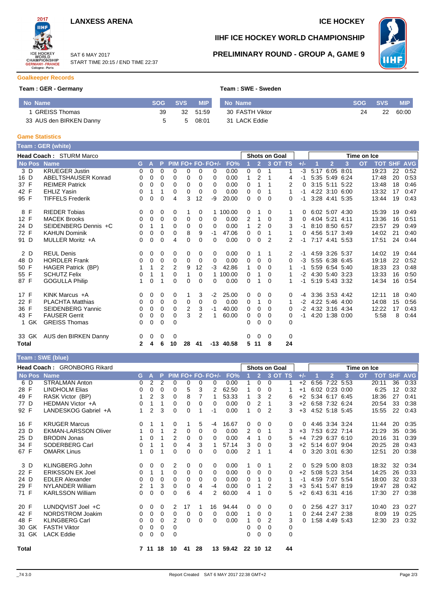



SAT 6 MAY 2017 START TIME 20:15 / END TIME 22:37

## **IIHF ICE HOCKEY WORLD CHAMPIONSHIP**

инf

**PRELIMINARY ROUND - GROUP A, GAME 9**

### **Goalkeeper Records**

#### **Team : GER - Germany <b>Team** : SWE - Sweden **Team** : SWE

|  |  |  |  | Team : SWE - Sweden |
|--|--|--|--|---------------------|
|--|--|--|--|---------------------|

| No Name                 | <b>SOG</b> | <b>SVS</b> | <b>MIP</b> | No Name         | <b>SOG</b> | <b>SVS</b> | <b>MIP</b> |
|-------------------------|------------|------------|------------|-----------------|------------|------------|------------|
| <b>GREISS Thomas</b>    | 39         |            | 32 51:59   | 30 FASTH Viktor | 24         | 22         | 60:00      |
| 33 AUS den BIRKEN Danny |            | 5          | 08:01      | 31 LACK Eddie   |            |            |            |

#### **Game Statistics**

|              | Team: GER (white)              |              |             |                |          |                |    |                   |             |          |                |                      |         |       |      |                |      |             |            |            |            |
|--------------|--------------------------------|--------------|-------------|----------------|----------|----------------|----|-------------------|-------------|----------|----------------|----------------------|---------|-------|------|----------------|------|-------------|------------|------------|------------|
|              | <b>Head Coach: STURM Marco</b> |              |             |                |          |                |    |                   |             |          |                | <b>Shots on Goal</b> |         |       |      |                |      | Time on Ice |            |            |            |
| No Pos Name  |                                | G.           | Α           | P              |          |                |    | PIM FO+ FO- FO+/- | FO%         |          | $\overline{2}$ |                      | 3 OT TS | $+/-$ |      | $\overline{2}$ | 3    | <b>OT</b>   | <b>TOT</b> | <b>SHF</b> | <b>AVG</b> |
| 3D           | <b>KRUEGER Justin</b>          | $\Omega$     | $\Omega$    | $\Omega$       | 0        | 0              | 0  | 0                 | 0.00        | 0        | $\Omega$       | 1                    | 1       | $-3$  | 5:17 | $6:05$ $8:01$  |      |             | 19:23      | 22         | 0:52       |
| 16 D         | ABELTSHAUSER Konrad            | 0            | $\mathbf 0$ | $\mathbf 0$    | 0        | 0              | 0  | 0                 | 0.00        | 1        | 2              | $\overline{1}$       | 4       | -1    |      | 5:35 5:49 6:24 |      |             | 17:48      | 20         | 0:53       |
| 37 F         | <b>REIMER Patrick</b>          | 0            | $\Omega$    | $\mathbf 0$    | $\Omega$ | 0              | 0  | $\Omega$          | 0.00        | 0        | 1              |                      | 2       | 0     |      | 3:15 5:11 5:22 |      |             | 13:48      | 18         | 0:46       |
| 42 F         | <b>EHLIZ Yasin</b>             | 0            | 1           | 1              | 0        | 0              | 0  | $\Omega$          | 0.00        | 0        | $\Omega$       | -1                   | 1       | -1    |      | 4:22 3:10 6:00 |      |             | 13:32      | 17         | 0:47       |
| 95 F         | <b>TIFFELS Frederik</b>        | 0            | 0           | 0              | 4        | 3              | 12 | $-9$              | 20.00       | 0        | $\Omega$       | $\Omega$             | 0       | -1    |      | 3:28 4:41 5:35 |      |             | 13:44      | 19         | 0:43       |
| 8 F          | <b>RIEDER Tobias</b>           | 0            | 0           | 0              | 0        | 1              | 0  |                   | 1 100.00    | 0        |                | 0                    | 1       | 0     |      | 6:02 5:07 4:30 |      |             | 15:39      | 19         | 0:49       |
| 12 F         | <b>MACEK Brooks</b>            | 0            | 0           | $\mathbf 0$    | 0        | 0              | 0  | 0                 | 0.00        | 2        | 1              | $\Omega$             | 3       | 0     |      | 4:04 5:21      | 4:11 |             | 13:36      | 16         | 0:51       |
| 24 D         | SEIDENBERG Dennis +C           | 0            | 1           | 1              | 0        | 0              | 0  | $\mathbf 0$       | 0.00        | 1        | $\overline{2}$ | $\Omega$             | 3       | -1    |      | 8:10 8:50 6:57 |      |             | 23:57      | 29         | 0:49       |
| 72 F         | <b>KAHUN Dominik</b>           | 0            | 0           | 0              | 0        | 8              | 9  | $-1$              | 47.06       | 0        | 0              | 1                    | 1       | 0     |      | 4:56 5:17 3:49 |      |             | 14:02      | 21         | 0:40       |
| 91 D         | MULLER Moritz +A               | 0            | $\Omega$    | $\Omega$       | 4        | 0              | 0  | 0                 | 0.00        | $\Omega$ | $\Omega$       | 2                    | 2       | -1    |      | 7:17 4:41 5:53 |      |             | 17:51      | 24         | 0:44       |
| 2 D          | <b>REUL Denis</b>              | 0            | 0           | 0              | 0        | 0              | 0  | 0                 | 0.00        | 0        | 1              | 1                    | 2       | -1    |      | 4:59 3:26 5:37 |      |             | 14:02      | 19         | 0:44       |
| 48 D         | <b>HORDLER Frank</b>           | 0            | 0           | 0              | 0        | 0              | 0  | 0                 | 0.00        | 0        | 0              | $\Omega$             | 0       | $-3$  |      | 5:55 6:38 6:45 |      |             | 19:18      | 22         | 0:52       |
| 50 F         | HAGER Patrick (BP)             |              | -1          | $\overline{2}$ | 2        | 9              | 12 | $-3$              | 42.86       | 1        | $\Omega$       | $\Omega$             | 1       | -1    |      | 5:59 6:54 5:40 |      |             | 18:33      | 23         | 0:48       |
| 55 F         | <b>SCHUTZ Felix</b>            | 0            | 1           |                | 0        | 1              | 0  |                   | 1 100.00    | 0        | 1              | $\Omega$             |         | $-2$  |      | 4:30 5:40 3:23 |      |             | 13:33      | 16         | 0:50       |
| 87 F         | <b>GOGULLA Philip</b>          | 1            | $\mathbf 0$ | $\overline{ }$ | 0        | 0              | 0  | 0                 | 0.00        | 0        | 4              | $\Omega$             | 1       | $-1$  |      | 5:19 5:43 3:32 |      |             | 14:34      | 16         | 0:54       |
| 17 F         | KINK Marcus +A                 | 0            | $\Omega$    | 0              | 0        | 1              | 3  | $-2$              | 25.00       | 0        | 0              | 0                    | 0       | -4    |      | 3:36 3:53 4:42 |      |             | 12:11      | 18         | 0:40       |
| 22 F         | <b>PLACHTA Matthias</b>        | $\Omega$     | 0           | 0              | 0        | 0              | 0  | $\Omega$          | 0.00        | 0        | 1              | 0                    | 1       | $-2$  |      | 4:22 5:46 4:00 |      |             | 14:08      | 15         | 0:56       |
| 36 F         | <b>SEIDENBERG Yannic</b>       | 0            | 0           | 0              | 0        | $\overline{2}$ | 3  | $-1$              | 40.00       | 0        | 0              | $\Omega$             | 0       | $-2$  |      | 4:32 3:16 4:34 |      |             | 12:22      | 17         | 0:43       |
| 43 F         | <b>FAUSER Gerrit</b>           | 0            | $\Omega$    | $\mathbf 0$    | $\Omega$ | 3              | 2  | 1                 | 60.00       | 0        | 0              | $\Omega$             | 0       | -1    |      | 4:20 1:38 0:00 |      |             | 5:58       | 8          | 0:44       |
| 1 GK         | <b>GREISS Thomas</b>           | 0            | 0           | $\mathbf 0$    | 0        |                |    |                   |             | 0        | 0              | $\Omega$             | 0       |       |      |                |      |             |            |            |            |
| 33 GK        | AUS den BIRKEN Danny           | 0            | 0           | 0              | 0        |                |    |                   |             | 0        | 0              | 0                    | 0       |       |      |                |      |             |            |            |            |
| <b>Total</b> |                                | $\mathbf{2}$ | 4           | 6              | 10       | 28             | 41 |                   | $-13$ 40.58 | 5        | 11             | 8                    | 24      |       |      |                |      |             |            |            |            |
|              | Team: SWE (blue)               |              |             |                |          |                |    |                   |             |          |                |                      |         |       |      |                |      |             |            |            |            |

|              | Head Coach: GRONBORG Rikard<br><b>Shots on Goal</b><br>Time on Ice |                |                |          |             |          |          |                     |          |          |                |                |           |          |                     |                      |   |           |            |            |            |
|--------------|--------------------------------------------------------------------|----------------|----------------|----------|-------------|----------|----------|---------------------|----------|----------|----------------|----------------|-----------|----------|---------------------|----------------------|---|-----------|------------|------------|------------|
| No Pos Name  |                                                                    | G.             | A              | P.       |             |          |          | $PIM FO+ FO- FO+/-$ | FO%      |          | $\overline{2}$ |                | $3$ OT TS | $+/-$    |                     | $\overline{2}$       | 3 | <b>OT</b> | <b>TOT</b> | <b>SHF</b> | <b>AVG</b> |
| 6 D          | <b>STRALMAN Anton</b>                                              | 0              | 2              | 2        | $\Omega$    | 0        | 0        | 0                   | 0.00     |          | 0              | $\Omega$       |           | $+2$     | 6:56                | 7:22 5:53            |   |           | 20:11      | 36         | 0:33       |
| 28 F         | <b>LINDHOLM Elias</b>                                              | 0              | 0              | 0        | $\Omega$    | 5        | 3        | 2                   | 62.50    |          | $\Omega$       | 0              |           | $+1$     |                     | $6:02$ $0:23$ $0:00$ |   |           | 6:25       | 12         | 0:32       |
| 49 F         | RASK Victor (BP)                                                   |                | 2              | 3        | $\Omega$    | 8        |          |                     | 53.33    | 1        | 3              | $\overline{2}$ | 6         | $+2$     | 5:34 6:17 6:45      |                      |   |           | 18:36      | 27         | 0:41       |
| 77 D         | HEDMAN Victor +A                                                   | 0              | 1              | 1        | $\Omega$    | 0        | $\Omega$ | $\Omega$            | 0.00     | 0        | 2              | 1              | 3         | $+2$     | 6:58 7:32 6:24      |                      |   |           | 20:54      | 33         | 0:38       |
| 92 F         | LANDESKOG Gabriel +A                                               | 1              | $\overline{2}$ | 3        | 0           | 0        |          | -1                  | 0.00     | 1        | 0              | 2              | 3         | $+3$     | 4:52 5:18 5:45      |                      |   |           | 15:55      | 22         | 0:43       |
| 16 F         | <b>KRUGER Marcus</b>                                               | 0              | 1              | 1        | 0           |          | 5        | -4                  | 16.67    | 0        | 0              | 0              | 0         | 0        | 4:46 3:34 3:24      |                      |   |           | 11:44      | 20         | 0:35       |
| 23 D         | <b>EKMAN-LARSSON Oliver</b>                                        |                | $\Omega$       | 1        | 2           | 0        | 0        | 0                   | 0.00     | 2        | $\Omega$       | 1              | 3         | $+3$     |                     | 7:53 6:22 7:14       |   |           | 21:29      | 35         | 0:36       |
| 25 D         | <b>BRODIN Jonas</b>                                                |                | $\Omega$       |          | 2           | 0        | $\Omega$ | 0                   | 0.00     | 4        | 1              | $\Omega$       | 5         | $+4$     |                     | 7:29 6:37 6:10       |   |           | 20:16      | 31         | 0:39       |
| 34 F         | SODERBERG Carl                                                     | 0              | 1              | 1        | $\Omega$    | 4        | 3        |                     | 57.14    | 3        | 0              | 0              | 3         |          | $+2$ 5:14 6:07 9:04 |                      |   |           | 20:25      | 28         | 0:43       |
| 67 F         | <b>OMARK Linus</b>                                                 | 1              | $\Omega$       | 1        | $\Omega$    | $\Omega$ | $\Omega$ | 0                   | 0.00     | 2        | 1              | 1              | 4         | 0        |                     | 3:20 3:01 6:30       |   |           | 12:51      | 20         | 0:38       |
| 3 D          | KLINGBERG John                                                     | 0              | 0              | $\Omega$ | 2           | 0        | 0        | 0                   | 0.00     |          | 0              | 1              | 2         | 0        | 5:29 5:00 8:03      |                      |   |           | 18:32      | 32         | 0:34       |
| 22 F         | <b>ERIKSSON EK Joel</b>                                            | 0              | 1              | 1        | $\Omega$    | $\Omega$ | $\Omega$ | 0                   | 0.00     | $\Omega$ | $\Omega$       | $\Omega$       | 0         | $+2$     |                     | 5:08 5:23 3:54       |   |           | 14:25      | 26         | 0:33       |
| 24 D         | <b>EDLER Alexander</b>                                             | 0              | $\Omega$       | $\Omega$ | 0           | 0        | $\Omega$ | $\Omega$            | 0.00     | 0        |                | 0              |           | -1       | 4:59 7:07 5:54      |                      |   |           | 18:00      | 32         | 0:33       |
| 29 F         | NYLANDER William                                                   | $\overline{2}$ | 1              | 3        | $\mathbf 0$ | 0        | 4        | -4                  | 0.00     | 0        | 1              | 2              | 3         | $+3$     | 5:41 5:47 8:19      |                      |   |           | 19:47      | 28         | 0:42       |
| 71 F         | <b>KARLSSON William</b>                                            | 0              | $\Omega$       | 0        | 0           | 6        | 4        | 2                   | 60.00    | 4        |                | 0              | 5.        | $+2$     |                     | 6:43 6:31 4:16       |   |           | 17:30      | 27         | 0:38       |
| 20 F         | LUNDQVIST Joel +C                                                  | 0              | 0              | $\Omega$ | 2           | 17       |          | 16                  | 94.44    | 0        | 0              | $\Omega$       | 0         | $\Omega$ | 2:56 4:27 3:17      |                      |   |           | 10:40      | 23         | 0:27       |
| 42 F         | NORDSTROM Joakim                                                   | 0              | $\Omega$       | $\Omega$ | $\Omega$    | 0        | 0        | $\Omega$            | 0.00     | 1        | 0              | $\Omega$       |           | 0        |                     | 2:44 2:47 2:38       |   |           | 8:09       | 19         | 0:25       |
| 48 F         | <b>KLINGBERG Carl</b>                                              | 0              | 0              | $\Omega$ | 2           | $\Omega$ | $\Omega$ | 0                   | 0.00     |          | 0              | 2              | 3         | 0        |                     | 1:58 4:49 5:43       |   |           | 12:30      | 23         | 0:32       |
| 30 GK        | <b>FASTH Viktor</b>                                                | 0              | 0              | 0        | 0           |          |          |                     |          | 0        | $\Omega$       | $\Omega$       | 0         |          |                     |                      |   |           |            |            |            |
| 31 GK        | <b>LACK Eddie</b>                                                  | 0              | 0              | 0        | $\mathbf 0$ |          |          |                     |          | 0        | 0              | $\Omega$       | 0         |          |                     |                      |   |           |            |            |            |
| <b>Total</b> |                                                                    |                | 7 11           | 18       | 10          | 41       | 28       |                     | 13 59.42 |          | 22 10 12       |                | 44        |          |                     |                      |   |           |            |            |            |